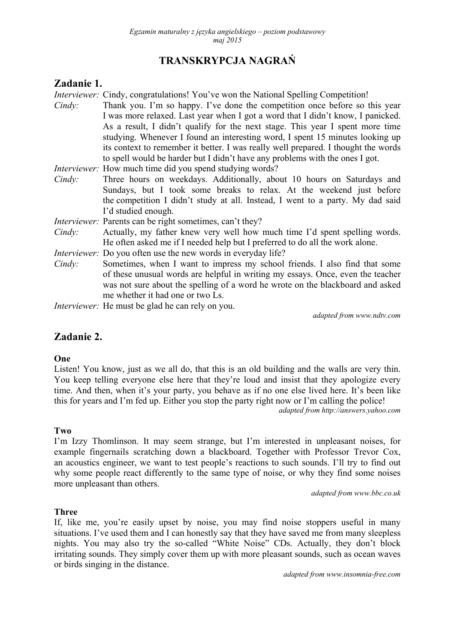# **TRANSKRYPCJA NAGRAŃ**

# **Zadanie 1.**

*Interviewer:* Cindy, congratulations! You've won the National Spelling Competition!

- *Cindy:* Thank you. I'm so happy. I've done the competition once before so this year I was more relaxed. Last year when I got a word that I didn't know, I panicked. As a result, I didn't qualify for the next stage. This year I spent more time studying. Whenever I found an interesting word, I spent 15 minutes looking up its context to remember it better. I was really well prepared. I thought the words to spell would be harder but I didn't have any problems with the ones I got.
- *Interviewer:* How much time did you spend studying words?
- *Cindy:* Three hours on weekdays. Additionally, about 10 hours on Saturdays and Sundays, but I took some breaks to relax. At the weekend just before the competition I didn't study at all. Instead, I went to a party. My dad said I'd studied enough.
- *Interviewer:* Parents can be right sometimes, can't they?
- *Cindy:* Actually, my father knew very well how much time I'd spent spelling words. He often asked me if I needed help but I preferred to do all the work alone.
- *Interviewer:* Do you often use the new words in everyday life?
- *Cindy:* Sometimes, when I want to impress my school friends. I also find that some of these unusual words are helpful in writing my essays. Once, even the teacher was not sure about the spelling of a word he wrote on the blackboard and asked me whether it had one or two Ls.

*Interviewer:* He must be glad he can rely on you.

*adapted from www.ndtv.com*

# **Zadanie 2.**

## **One**

Listen! You know, just as we all do, that this is an old building and the walls are very thin. You keep telling everyone else here that they're loud and insist that they apologize every time. And then, when it's your party, you behave as if no one else lived here. It's been like this for years and I'm fed up. Either you stop the party right now or I'm calling the police!

*adapted from http://answers.yahoo.com* 

## **Two**

I'm Izzy Thomlinson. It may seem strange, but I'm interested in unpleasant noises, for example fingernails scratching down a blackboard. Together with Professor Trevor Cox, an acoustics engineer, we want to test people's reactions to such sounds. I'll try to find out why some people react differently to the same type of noise, or why they find some noises more unpleasant than others.

*adapted from www.bbc.co.uk* 

## **Three**

If, like me, you're easily upset by noise, you may find noise stoppers useful in many situations. I've used them and I can honestly say that they have saved me from many sleepless nights. You may also try the so-called "White Noise" CDs. Actually, they don't block irritating sounds. They simply cover them up with more pleasant sounds, such as ocean waves or birds singing in the distance.

*adapted from www.insomnia-free.com*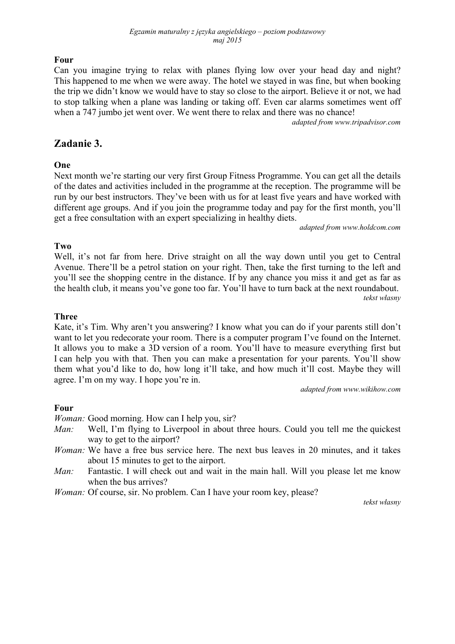#### *Egzamin maturalny z języka angielskiego – poziom podstawowy maj 2015*

# **Four**

Can you imagine trying to relax with planes flying low over your head day and night? This happened to me when we were away. The hotel we stayed in was fine, but when booking the trip we didn't know we would have to stay so close to the airport. Believe it or not, we had to stop talking when a plane was landing or taking off. Even car alarms sometimes went off when a 747 jumbo jet went over. We went there to relax and there was no chance!

*adapted from www.tripadvisor.com* 

# **Zadanie 3.**

## **One**

Next month we're starting our very first Group Fitness Programme. You can get all the details of the dates and activities included in the programme at the reception. The programme will be run by our best instructors. They've been with us for at least five years and have worked with different age groups. And if you join the programme today and pay for the first month, you'll get a free consultation with an expert specializing in healthy diets.

*adapted from www.holdcom.com* 

## **Two**

Well, it's not far from here. Drive straight on all the way down until you get to Central Avenue. There'll be a petrol station on your right. Then, take the first turning to the left and you'll see the shopping centre in the distance. If by any chance you miss it and get as far as the health club, it means you've gone too far. You'll have to turn back at the next roundabout. *tekst własny* 

## **Three**

Kate, it's Tim. Why aren't you answering? I know what you can do if your parents still don't want to let you redecorate your room. There is a computer program I've found on the Internet. It allows you to make a 3D version of a room. You'll have to measure everything first but I can help you with that. Then you can make a presentation for your parents. You'll show them what you'd like to do, how long it'll take, and how much it'll cost. Maybe they will agree. I'm on my way. I hope you're in.

*adapted from www.wikihow.com* 

## **Four**

*Woman:* Good morning. How can I help you, sir?

- *Man:* Well, I'm flying to Liverpool in about three hours. Could you tell me the quickest way to get to the airport?
- *Woman:* We have a free bus service here. The next bus leaves in 20 minutes, and it takes about 15 minutes to get to the airport.
- *Man:* Fantastic. I will check out and wait in the main hall. Will you please let me know when the bus arrives?
- *Woman:* Of course, sir. No problem. Can I have your room key, please?

*tekst własny*